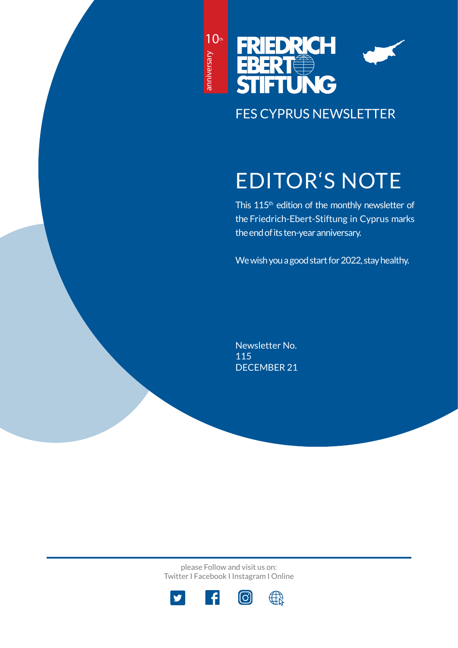10<sup>th</sup> anniversary anniversary



FES CYPRUS NEWSLETTER

# EDITOR'S NOTE

This 115<sup>th</sup> edition of the monthly newsletter of the Friedrich-Ebert-Stiftung in Cyprus marks the end of its ten-year anniversary.

We wish you a good start for 2022, stay healthy.

Newsletter No. 115 DECEMBER 21

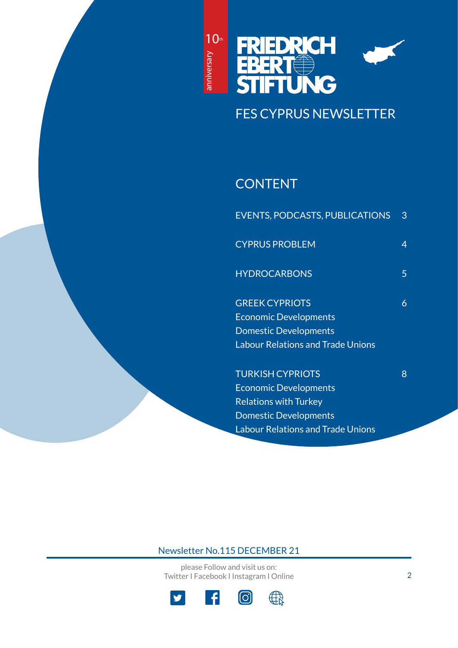



# FES CYPRUS NEWSLETTER

# **CONTENT**

| <b>EVENTS, PODCASTS, PUBLICATIONS</b>    | 3 |
|------------------------------------------|---|
| <b>CYPRUS PROBLEM</b>                    | 4 |
| <b>HYDROCARBONS</b>                      | 5 |
| <b>GREEK CYPRIOTS</b>                    | 6 |
| <b>Economic Developments</b>             |   |
| <b>Domestic Developments</b>             |   |
| <b>Labour Relations and Trade Unions</b> |   |
| <b>TURKISH CYPRIOTS</b>                  | 8 |
| <b>Economic Developments</b>             |   |
| <b>Relations with Turkey</b>             |   |
| <b>Domestic Developments</b>             |   |

Labour Relations and Trade Unions

Newsletter No.115 DECEMBER 21

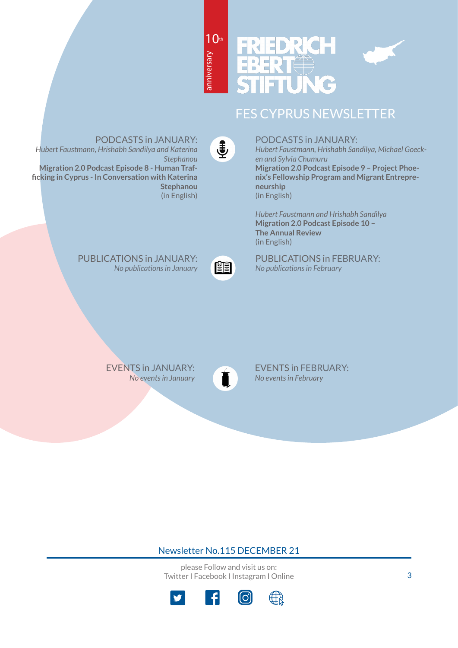



# FES CYPRUS NEWSLETTER

 $\ddot{\ddagger}$ 

t

anniversary

anniversary

PODCASTS in JANUARY: *Hubert Faustmann, Hrishabh Sandilya and Katerina Stephanou* **Migration 2.0 Podcast Episode 8 - Human Trafficking in Cyprus - In Conversation with Katerina Stephanou**

(in English)

PODCASTS in JANUARY:

*Hubert Faustmann, Hrishabh Sandilya, Michael Goecken and Sylvia Chumuru* **Migration 2.0 Podcast Episode 9 – Project Phoenix's Fellowship Program and Migrant Entrepreneurship** (in English)

*Hubert Faustmann and Hrishabh Sandilya* **Migration 2.0 Podcast Episode 10 – The Annual Review** (in English)

PUBLICATIONS in FEBRUARY: *No publications in February*

EVENTS in JANUARY[:](https://www.fescyprus.org/events/) *No events in January*

PUBLICATIONS in JANUARY[:](https://www.fescyprus.org/publications/)

*No publications in January*



EVENTS in FEBRUARY: *No events in February*

## Newsletter No.115 DECEMBER 21

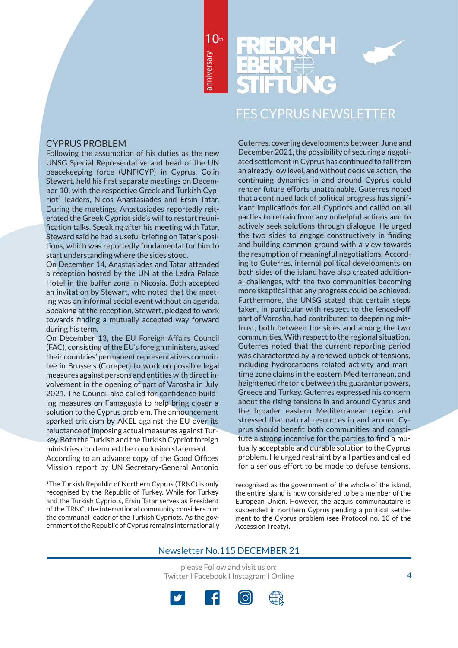

# FES CYPRUS NEWSLETTER

## CYPRUS PROBLEM

Following the assumption of his duties as the new UNSG Special Representative and head of the UN peacekeeping force (UNFICYP) in Cyprus, Colin Stewart, held his first separate meetings on December 10, with the respective Greek and Turkish Cypriot<sup>1</sup> leaders, Nicos Anastasiades and Ersin Tatar. During the meetings, Anastasiades reportedly reiterated the Greek Cypriot side's will to restart reunification talks. Speaking after his meeting with Tatar, Steward said he had a useful briefing on Tatar's positions, which was reportedly fundamental for him to start understanding where the sides stood.

On December 14, Anastasiades and Tatar attended a reception hosted by the UN at the Ledra Palace Hotel in the buffer zone in Nicosia. Both accepted an invitation by Stewart, who noted that the meeting was an informal social event without an agenda. Speaking at the reception, Stewart, pledged to work towards finding a mutually accepted way forward during his term.

On December 13, the EU Foreign Affairs Council (FAC), consisting of the EU's foreign ministers, asked their countries' permanent representatives committee in Brussels (Coreper) to work on possible legal measures against persons and entities with direct involvement in the opening of part of Varosha in July 2021. The Council also called for confidence-building measures on Famagusta to help bring closer a solution to the Cyprus problem. The announcement sparked criticism by AKEL against the EU over its reluctance of imposing actual measures against Turkey. Both the Turkish and the Turkish Cypriot foreign ministries condemned the conclusion statement. According to an advance copy of the Good Offices Mission report by UN Secretary-General Antonio

<sup>1</sup>The Turkish Republic of Northern Cyprus (TRNC) is only recognised by the Republic of Turkey. While for Turkey and the Turkish Cypriots, Ersin Tatar serves as President of the TRNC, the international community considers him the communal leader of the Turkish Cypriots. As the government of the Republic of Cyprus remains internationally

Guterres, covering developments between June and December 2021, the possibility of securing a negotiated settlement in Cyprus has continued to fall from an already low level, and without decisive action, the continuing dynamics in and around Cyprus could render future efforts unattainable. Guterres noted that a continued lack of political progress has significant implications for all Cypriots and called on all parties to refrain from any unhelpful actions and to actively seek solutions through dialogue. He urged the two sides to engage constructively in finding and building common ground with a view towards the resumption of meaningful negotiations. According to Guterres, internal political developments on both sides of the island have also created additional challenges, with the two communities becoming more skeptical that any progress could be achieved. Furthermore, the UNSG stated that certain steps taken, in particular with respect to the fenced-off part of Varosha, had contributed to deepening mistrust, both between the sides and among the two communities. With respect to the regional situation, Guterres noted that the current reporting period was characterized by a renewed uptick of tensions, including hydrocarbons related activity and maritime zone claims in the eastern Mediterranean, and heightened rhetoric between the guarantor powers, Greece and Turkey. Guterres expressed his concern about the rising tensions in and around Cyprus and the broader eastern Mediterranean region and stressed that natural resources in and around Cyprus should benefit both communities and constitute a strong incentive for the parties to find a mutually acceptable and durable solution to the Cyprus problem. He urged restraint by all parties and called for a serious effort to be made to defuse tensions.

recognised as the government of the whole of the island, the entire island is now considered to be a member of the European Union. However, the acquis communautaire is suspended in northern Cyprus pending a political settlement to the Cyprus problem (see Protocol no. 10 of the Accession Treaty).

## Newsletter No.115 DECEMBER 21

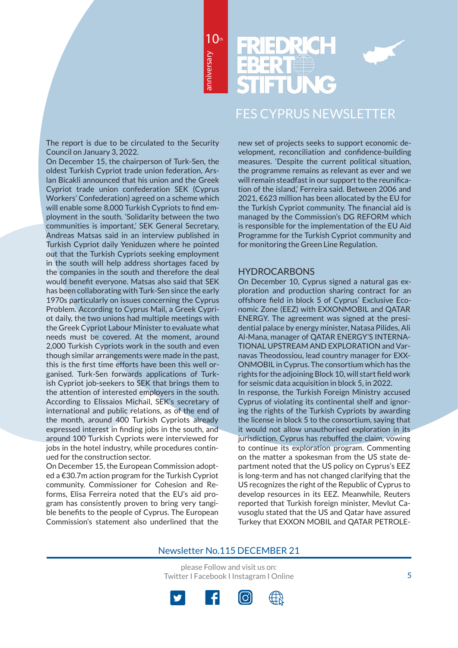10th



# FES CYPRUS NEWSLETTER

The report is due to be circulated to the Security Council on January 3, 2022.

On December 15, the chairperson of Turk-Sen, the oldest Turkish Cypriot trade union federation, Arslan Bicakli announced that his union and the Greek Cypriot trade union confederation SEK (Cyprus Workers' Confederation) agreed on a scheme which will enable some 8,000 Turkish Cypriots to find employment in the south. 'Solidarity between the two communities is important,' SEK General Secretary, Andreas Matsas said in an interview published in Turkish Cypriot daily Yeniduzen where he pointed out that the Turkish Cypriots seeking employment in the south will help address shortages faced by the companies in the south and therefore the deal would benefit everyone. Matsas also said that SEK has been collaborating with Turk-Sen since the early 1970s particularly on issues concerning the Cyprus Problem. According to Cyprus Mail, a Greek Cypriot daily, the two unions had multiple meetings with the Greek Cypriot Labour Minister to evaluate what needs must be covered. At the moment, around 2,000 Turkish Cypriots work in the south and even though similar arrangements were made in the past, this is the first time efforts have been this well organised. Turk-Sen forwards applications of Turkish Cypriot job-seekers to SEK that brings them to the attention of interested employers in the south. According to Elissaios Michail, SEK's secretary of international and public relations, as of the end of the month, around 400 Turkish Cypriots already expressed interest in finding jobs in the south, and around 100 Turkish Cypriots were interviewed for jobs in the hotel industry, while procedures continued for the construction sector.

On December 15, the European Commission adopted a €30.7m action program for the Turkish Cypriot community. Commissioner for Cohesion and Reforms, Elisa Ferreira noted that the EU's aid program has consistently proven to bring very tangible benefits to the people of Cyprus. The European Commission's statement also underlined that the new set of projects seeks to support economic development, reconciliation and confidence-building measures. 'Despite the current political situation, the programme remains as relevant as ever and we will remain steadfast in our support to the reunification of the island,' Ferreira said. Between 2006 and 2021, €623 million has been allocated by the EU for the Turkish Cypriot community. The financial aid is managed by the Commission's DG REFORM which is responsible for the implementation of the EU Aid Programme for the Turkish Cypriot community and for monitoring the Green Line Regulation.

#### **HYDROCARBONS**

On December 10, Cyprus signed a natural gas exploration and production sharing contract for an offshore field in block 5 of Cyprus' Exclusive Economic Zone (EEZ) with EXXONMOBIL and QATAR ENERGY. The agreement was signed at the presidential palace by energy minister, Natasa Pilides, Ali Al-Mana, manager of QATAR ENERGY'S INTERNA-TIONAL UPSTREAM AND EXPLORATION and Varnavas Theodossiou, lead country manager for EXX-ONMOBIL in Cyprus. The consortium which has the rights for the adjoining Block 10, will start field work for seismic data acquisition in block 5, in 2022. In response, the Turkish Foreign Ministry accused Cyprus of violating its continental shelf and ignoring the rights of the Turkish Cypriots by awarding the license in block 5 to the consortium, saying that it would not allow unauthorised exploration in its jurisdiction. Cyprus has rebuffed the claim, vowing to continue its exploration program. Commenting on the matter a spokesman from the US state department noted that the US policy on Cyprus's EEZ is long-term and has not changed clarifying that the US recognizes the right of the Republic of Cyprus to develop resources in its EEZ. Meanwhile, Reuters reported that Turkish foreign minister, Mevlut Cavusoglu stated that the US and Qatar have assured Turkey that EXXON MOBIL and QATAR PETROLE-

## Newsletter No.115 DECEMBER 21

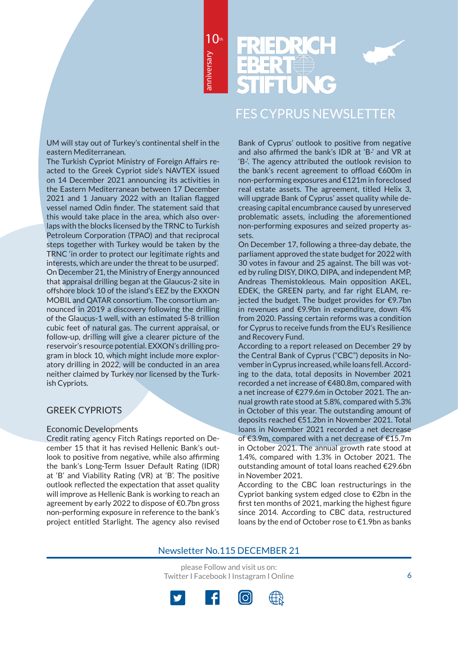10th



## FES CYPRUS NEWSLETTER

UM will stay out of Turkey's continental shelf in the eastern Mediterranean.

The Turkish Cypriot Ministry of Foreign Affairs reacted to the Greek Cypriot side's NAVTEX issued on 14 December 2021 announcing its activities in the Eastern Mediterranean between 17 December 2021 and 1 January 2022 with an Italian flagged vessel named Odin finder. The statement said that this would take place in the area, which also overlaps with the blocks licensed by the TRNC to Turkish Petroleum Corporation (TPAO) and that reciprocal steps together with Turkey would be taken by the TRNC 'in order to protect our legitimate rights and interests, which are under the threat to be usurped'. On December 21, the Ministry of Energy announced that appraisal drilling began at the Glaucus-2 site in offshore block 10 of the island's EEZ by the EXXON MOBIL and QATAR consortium. The consortium announced in 2019 a discovery following the drilling of the Glaucus-1 well, with an estimated 5-8 trillion cubic feet of natural gas. The current appraisal, or follow-up, drilling will give a clearer picture of the reservoir's resource potential. EXXON's drilling program in block 10, which might include more exploratory drilling in 2022, will be conducted in an area neither claimed by Turkey nor licensed by the Turkish Cypriots.

## GREEK CYPRIOTS

#### Economic Developments

Credit rating agency Fitch Ratings reported on December 15 that it has revised Hellenic Bank's outlook to positive from negative, while also affirming the bank's Long-Term Issuer Default Rating (IDR) at 'B' and Viability Rating (VR) at 'B'. The positive outlook reflected the expectation that asset quality will improve as Hellenic Bank is working to reach an agreement by early 2022 to dispose of €0.7bn gross non-performing exposure in reference to the bank's project entitled Starlight. The agency also revised

Bank of Cyprus' outlook to positive from negative and also affirmed the bank's IDR at 'B-' and VR at 'B-'. The agency attributed the outlook revision to the bank's recent agreement to offload €600m in non-performing exposures and €121m in foreclosed real estate assets. The agreement, titled Helix 3, will upgrade Bank of Cyprus' asset quality while decreasing capital encumbrance caused by unreserved problematic assets, including the aforementioned non-performing exposures and seized property assets.

On December 17, following a three-day debate, the parliament approved the state budget for 2022 with 30 votes in favour and 25 against. The bill was voted by ruling DISY, DIKO, DIPA, and independent MP, Andreas Themistokleous. Main opposition AKEL, EDEK, the GREEN party, and far right ELAM, rejected the budget. The budget provides for €9.7bn in revenues and €9.9bn in expenditure, down 4% from 2020. Passing certain reforms was a condition for Cyprus to receive funds from the EU's Resilience and Recovery Fund.

According to a report released on December 29 by the Central Bank of Cyprus ("CBC") deposits in November in Cyprus increased, while loans fell. According to the data, total deposits in November 2021 recorded a net increase of €480.8m, compared with a net increase of €279.6m in October 2021. The annual growth rate stood at 5.8%, compared with 5.3% in October of this year. The outstanding amount of deposits reached €51.2bn in November 2021. Total loans in November 2021 recorded a net decrease of €3.9m, compared with a net decrease of €15.7m in October 2021. The annual growth rate stood at 1.4%, compared with 1.3% in October 2021. The outstanding amount of total loans reached €29.6bn in November 2021.

According to the CBC loan restructurings in the Cypriot banking system edged close to €2bn in the first ten months of 2021, marking the highest figure since 2014. According to CBC data, restructured loans by the end of October rose to €1.9bn as banks

## Newsletter No.115 DECEMBER 21

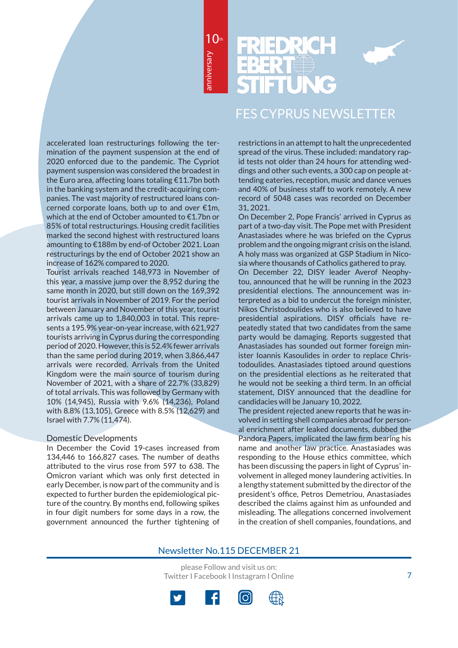10th



# FES CYPRUS NEWSLETTER

accelerated loan restructurings following the termination of the payment suspension at the end of 2020 enforced due to the pandemic. The Cypriot payment suspension was considered the broadest in the Euro area, affecting loans totaling €11.7bn both in the banking system and the credit-acquiring companies. The vast majority of restructured loans concerned corporate loans, both up to and over €1m, which at the end of October amounted to €1.7bn or 85% of total restructurings. Housing credit facilities marked the second highest with restructured loans amounting to €188m by end-of October 2021. Loan restructurings by the end of October 2021 show an increase of 162% compared to 2020.

Tourist arrivals reached 148,973 in November of this year, a massive jump over the 8,952 during the same month in 2020, but still down on the 169,392 tourist arrivals in November of 2019. For the period between January and November of this year, tourist arrivals came up to 1,840,003 in total. This represents a 195.9% year-on-year increase, with 621,927 tourists arriving in Cyprus during the corresponding period of 2020. However, this is 52.4% fewer arrivals than the same period during 2019, when 3,866,447 arrivals were recorded. Arrivals from the United Kingdom were the main source of tourism during November of 2021, with a share of 22.7% (33,829) of total arrivals. This was followed by Germany with 10% (14,945), Russia with 9.6% (14,236), Poland with 8.8% (13,105), Greece with 8.5% (12,629) and Israel with 7.7% (11,474).

#### Domestic Developments

In December the Covid 19-cases increased from 134,446 to 166,827 cases. The number of deaths attributed to the virus rose from 597 to 638. The Omicron variant which was only first detected in early December, is now part of the community and is expected to further burden the epidemiological picture of the country. By months end, following spikes in four digit numbers for some days in a row, the government announced the further tightening of restrictions in an attempt to halt the unprecedented spread of the virus. These included: mandatory rapid tests not older than 24 hours for attending weddings and other such events, a 300 cap on people attending eateries, reception, music and dance venues and 40% of business staff to work remotely. A new record of 5048 cases was recorded on December 31, 2021.

On December 2, Pope Francis' arrived in Cyprus as part of a two-day visit. The Pope met with President Anastasiades where he was briefed on the Cyprus problem and the ongoing migrant crisis on the island. A holy mass was organized at GSP Stadium in Nicosia where thousands of Catholics gathered to pray.

On December 22, DISY leader Averof Neophytou, announced that he will be running in the 2023 presidential elections. The announcement was interpreted as a bid to undercut the foreign minister, Nikos Christodoulides who is also believed to have presidential aspirations. DISY officials have repeatedly stated that two candidates from the same party would be damaging. Reports suggested that Anastasiades has sounded out former foreign minister Ioannis Kasoulides in order to replace Christodoulides. Anastasiades tiptoed around questions on the presidential elections as he reiterated that he would not be seeking a third term. In an official statement, DISY announced that the deadline for candidacies will be January 10, 2022.

The president rejected anew reports that he was involved in setting shell companies abroad for personal enrichment after leaked documents, dubbed the Pandora Papers, implicated the law firm bearing his name and another law practice. Anastasiades was responding to the House ethics committee, which has been discussing the papers in light of Cyprus' involvement in alleged money laundering activities. In a lengthy statement submitted by the director of the president's office, Petros Demetriou, Anastasiades described the claims against him as unfounded and misleading. The allegations concerned involvement in the creation of shell companies, foundations, and

## Newsletter No.115 DECEMBER 21

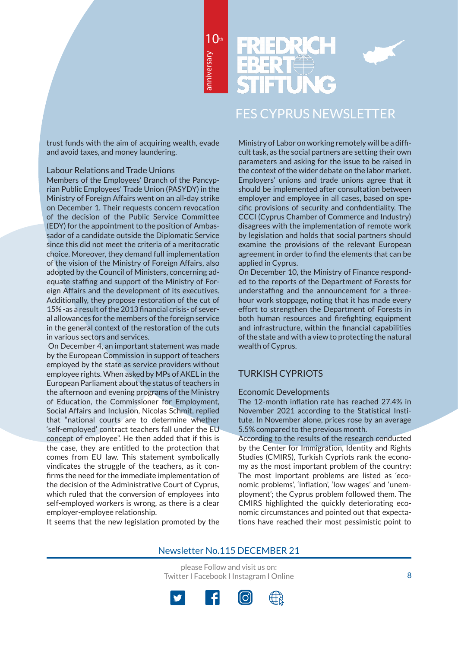10th



# FES CYPRUS NEWSLETTER

trust funds with the aim of acquiring wealth, evade and avoid taxes, and money laundering.

#### Labour Relations and Trade Unions

Members of the Employees' Branch of the Pancyprian Public Employees' Trade Union (PASYDY) in the Ministry of Foreign Affairs went on an all-day strike on December 1. Their requests concern revocation of the decision of the Public Service Committee (EDY) for the appointment to the position of Ambassador of a candidate outside the Diplomatic Service since this did not meet the criteria of a meritocratic choice. Moreover, they demand full implementation of the vision of the Ministry of Foreign Affairs, also adopted by the Council of Ministers, concerning adequate staffing and support of the Ministry of Foreign Affairs and the development of its executives. Additionally, they propose restoration of the cut of 15% -as a result of the 2013 financial crisis- of several allowances for the members of the foreign service in the general context of the restoration of the cuts in various sectors and services.

 On December 4, an important statement was made by the European Commission in support of teachers employed by the state as service providers without employee rights. When asked by MPs of AKEL in the European Parliament about the status of teachers in the afternoon and evening programs of the Ministry of Education, the Commissioner for Employment, Social Affairs and Inclusion, Nicolas Schmit, replied that "national courts are to determine whether 'self-employed' contract teachers fall under the EU concept of employee". He then added that if this is the case, they are entitled to the protection that comes from EU law. This statement symbolically vindicates the struggle of the teachers, as it confirms the need for the immediate implementation of the decision of the Administrative Court of Cyprus, which ruled that the conversion of employees into self-employed workers is wrong, as there is a clear employer-employee relationship.

It seems that the new legislation promoted by the

Ministry of Labor on working remotely will be a difficult task, as the social partners are setting their own parameters and asking for the issue to be raised in the context of the wider debate on the labor market. Employers' unions and trade unions agree that it should be implemented after consultation between employer and employee in all cases, based on specific provisions of security and confidentiality. The CCCI (Cyprus Chamber of Commerce and Industry) disagrees with the implementation of remote work by legislation and holds that social partners should examine the provisions of the relevant European agreement in order to find the elements that can be applied in Cyprus.

On December 10, the Ministry of Finance responded to the reports of the Department of Forests for understaffing and the announcement for a threehour work stoppage, noting that it has made every effort to strengthen the Department of Forests in both human resources and firefighting equipment and infrastructure, within the financial capabilities of the state and with a view to protecting the natural wealth of Cyprus.

## TURKISH CYPRIOTS

#### Economic Developments

The 12-month inflation rate has reached 27.4% in November 2021 according to the Statistical Institute. In November alone, prices rose by an average 5.5% compared to the previous month.

According to the results of the research conducted by the Center for Immigration, Identity and Rights Studies (CMIRS), Turkish Cypriots rank the economy as the most important problem of the country: The most important problems are listed as 'economic problems', 'inflation', 'low wages' and 'unemployment'; the Cyprus problem followed them. The CMIRS highlighted the quickly deteriorating economic circumstances and pointed out that expectations have reached their most pessimistic point to

## Newsletter No.115 DECEMBER 21

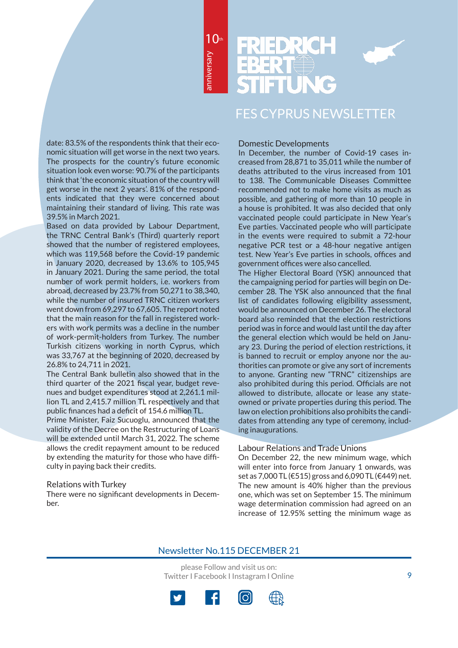10th

# FES CYPRUS NEWSLETTER

date: 83.5% of the respondents think that their economic situation will get worse in the next two years. The prospects for the country's future economic situation look even worse: 90.7% of the participants think that 'the economic situation of the country will get worse in the next 2 years'. 81% of the respondents indicated that they were concerned about maintaining their standard of living. This rate was 39.5% in March 2021.

Based on data provided by Labour Department, the TRNC Central Bank's (Third) quarterly report showed that the number of registered employees, which was 119,568 before the Covid-19 pandemic in January 2020, decreased by 13.6% to 105,945 in January 2021. During the same period, the total number of work permit holders, i.e. workers from abroad, decreased by 23.7% from 50,271 to 38,340, while the number of insured TRNC citizen workers went down from 69,297 to 67,605. The report noted that the main reason for the fall in registered workers with work permits was a decline in the number of work-permit-holders from Turkey. The number Turkish citizens working in north Cyprus, which was 33,767 at the beginning of 2020, decreased by 26.8% to 24,711 in 2021.

The Central Bank bulletin also showed that in the third quarter of the 2021 fiscal year, budget revenues and budget expenditures stood at 2,261.1 million TL and 2,415.7 million TL respectively and that public finances had a deficit of 154.6 million TL.

Prime Minister, Faiz Sucuoglu, announced that the validity of the Decree on the Restructuring of Loans will be extended until March 31, 2022. The scheme allows the credit repayment amount to be reduced by extending the maturity for those who have difficulty in paying back their credits.

#### Relations with Turkey

There were no significant developments in December.

#### Domestic Developments

In December, the number of Covid-19 cases increased from 28,871 to 35,011 while the number of deaths attributed to the virus increased from 101 to 138. The Communicable Diseases Committee recommended not to make home visits as much as possible, and gathering of more than 10 people in a house is prohibited. It was also decided that only vaccinated people could participate in New Year's Eve parties. Vaccinated people who will participate in the events were required to submit a 72-hour negative PCR test or a 48-hour negative antigen test. New Year's Eve parties in schools, offices and government offices were also cancelled.

The Higher Electoral Board (YSK) announced that the campaigning period for parties will begin on December 28. The YSK also announced that the final list of candidates following eligibility assessment, would be announced on December 26. The electoral board also reminded that the election restrictions period was in force and would last until the day after the general election which would be held on January 23. During the period of election restrictions, it is banned to recruit or employ anyone nor the authorities can promote or give any sort of increments to anyone. Granting new "TRNC" citizenships are also prohibited during this period. Officials are not allowed to distribute, allocate or lease any stateowned or private properties during this period. The law on election prohibitions also prohibits the candidates from attending any type of ceremony, including inaugurations.

#### Labour Relations and Trade Unions

On December 22, the new minimum wage, which will enter into force from January 1 onwards, was set as 7,000 TL (€515) gross and 6,090 TL (€449) net. The new amount is 40% higher than the previous one, which was set on September 15. The minimum wage determination commission had agreed on an increase of 12.95% setting the minimum wage as

## Newsletter No.115 DECEMBER 21

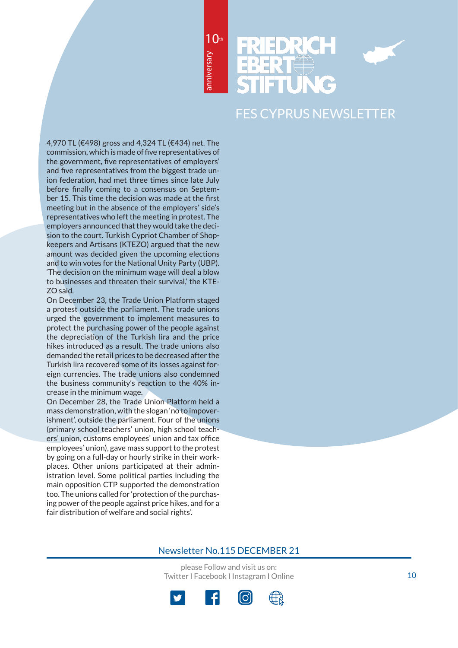10th



# FES CYPRUS NEWSLETTER

4,970 TL (€498) gross and 4,324 TL (€434) net. The commission, which is made of five representatives of the government, five representatives of employers' and five representatives from the biggest trade union federation, had met three times since late July before finally coming to a consensus on September 15. This time the decision was made at the first meeting but in the absence of the employers' side's representatives who left the meeting in protest. The employers announced that they would take the decision to the court. Turkish Cypriot Chamber of Shopkeepers and Artisans (KTEZO) argued that the new amount was decided given the upcoming elections and to win votes for the National Unity Party (UBP). 'The decision on the minimum wage will deal a blow to businesses and threaten their survival,' the KTE-ZO said.

On December 23, the Trade Union Platform staged a protest outside the parliament. The trade unions urged the government to implement measures to protect the purchasing power of the people against the depreciation of the Turkish lira and the price hikes introduced as a result. The trade unions also demanded the retail prices to be decreased after the Turkish lira recovered some of its losses against foreign currencies. The trade unions also condemned the business community's reaction to the 40% increase in the minimum wage.

On December 28, the Trade Union Platform held a mass demonstration, with the slogan 'no to impoverishment', outside the parliament. Four of the unions (primary school teachers' union, high school teachers' union, customs employees' union and tax office employees' union), gave mass support to the protest by going on a full-day or hourly strike in their workplaces. Other unions participated at their administration level. Some political parties including the main opposition CTP supported the demonstration too. The unions called for 'protection of the purchasing power of the people against price hikes, and for a fair distribution of welfare and social rights'.

please Follow and visit us on:

Twitter I Facebook I Instagram I Online

Newsletter No.115 DECEMBER 21